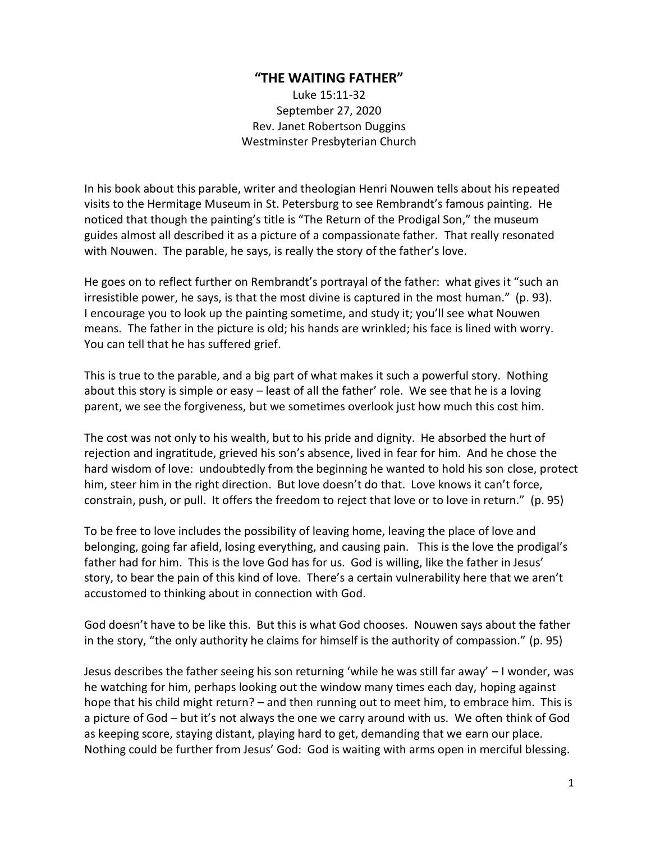## **"THE WAITING FATHER"**

Luke 15:11-32 September 27, 2020 Rev. Janet Robertson Duggins Westminster Presbyterian Church

In his book about this parable, writer and theologian Henri Nouwen tells about his repeated visits to the Hermitage Museum in St. Petersburg to see Rembrandt's famous painting. He noticed that though the painting's title is "The Return of the Prodigal Son," the museum guides almost all described it as a picture of a compassionate father. That really resonated with Nouwen. The parable, he says, is really the story of the father's love.

He goes on to reflect further on Rembrandt's portrayal of the father: what gives it "such an irresistible power, he says, is that the most divine is captured in the most human." (p. 93). I encourage you to look up the painting sometime, and study it; you'll see what Nouwen means. The father in the picture is old; his hands are wrinkled; his face is lined with worry. You can tell that he has suffered grief.

This is true to the parable, and a big part of what makes it such a powerful story. Nothing about this story is simple or easy – least of all the father' role. We see that he is a loving parent, we see the forgiveness, but we sometimes overlook just how much this cost him.

The cost was not only to his wealth, but to his pride and dignity. He absorbed the hurt of rejection and ingratitude, grieved his son's absence, lived in fear for him. And he chose the hard wisdom of love: undoubtedly from the beginning he wanted to hold his son close, protect him, steer him in the right direction. But love doesn't do that. Love knows it can't force, constrain, push, or pull. It offers the freedom to reject that love or to love in return." (p. 95)

To be free to love includes the possibility of leaving home, leaving the place of love and belonging, going far afield, losing everything, and causing pain. This is the love the prodigal's father had for him. This is the love God has for us. God is willing, like the father in Jesus' story, to bear the pain of this kind of love. There's a certain vulnerability here that we aren't accustomed to thinking about in connection with God.

God doesn't have to be like this. But this is what God chooses. Nouwen says about the father in the story, "the only authority he claims for himself is the authority of compassion." (p. 95)

Jesus describes the father seeing his son returning 'while he was still far away' – I wonder, was he watching for him, perhaps looking out the window many times each day, hoping against hope that his child might return? – and then running out to meet him, to embrace him. This is a picture of God – but it's not always the one we carry around with us. We often think of God as keeping score, staying distant, playing hard to get, demanding that we earn our place. Nothing could be further from Jesus' God: God is waiting with arms open in merciful blessing.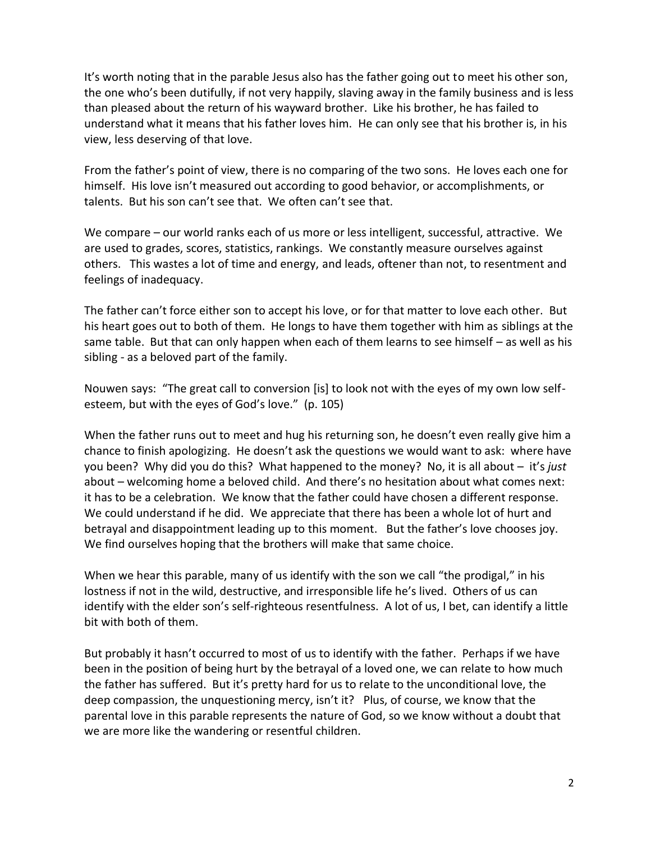It's worth noting that in the parable Jesus also has the father going out to meet his other son, the one who's been dutifully, if not very happily, slaving away in the family business and is less than pleased about the return of his wayward brother. Like his brother, he has failed to understand what it means that his father loves him. He can only see that his brother is, in his view, less deserving of that love.

From the father's point of view, there is no comparing of the two sons. He loves each one for himself. His love isn't measured out according to good behavior, or accomplishments, or talents. But his son can't see that. We often can't see that.

We compare – our world ranks each of us more or less intelligent, successful, attractive. We are used to grades, scores, statistics, rankings. We constantly measure ourselves against others. This wastes a lot of time and energy, and leads, oftener than not, to resentment and feelings of inadequacy.

The father can't force either son to accept his love, or for that matter to love each other. But his heart goes out to both of them. He longs to have them together with him as siblings at the same table. But that can only happen when each of them learns to see himself – as well as his sibling - as a beloved part of the family.

Nouwen says: "The great call to conversion [is] to look not with the eyes of my own low selfesteem, but with the eyes of God's love." (p. 105)

When the father runs out to meet and hug his returning son, he doesn't even really give him a chance to finish apologizing. He doesn't ask the questions we would want to ask: where have you been? Why did you do this? What happened to the money? No, it is all about – it's *just* about – welcoming home a beloved child. And there's no hesitation about what comes next: it has to be a celebration. We know that the father could have chosen a different response. We could understand if he did. We appreciate that there has been a whole lot of hurt and betrayal and disappointment leading up to this moment. But the father's love chooses joy. We find ourselves hoping that the brothers will make that same choice.

When we hear this parable, many of us identify with the son we call "the prodigal," in his lostness if not in the wild, destructive, and irresponsible life he's lived. Others of us can identify with the elder son's self-righteous resentfulness. A lot of us, I bet, can identify a little bit with both of them.

But probably it hasn't occurred to most of us to identify with the father. Perhaps if we have been in the position of being hurt by the betrayal of a loved one, we can relate to how much the father has suffered. But it's pretty hard for us to relate to the unconditional love, the deep compassion, the unquestioning mercy, isn't it? Plus, of course, we know that the parental love in this parable represents the nature of God, so we know without a doubt that we are more like the wandering or resentful children.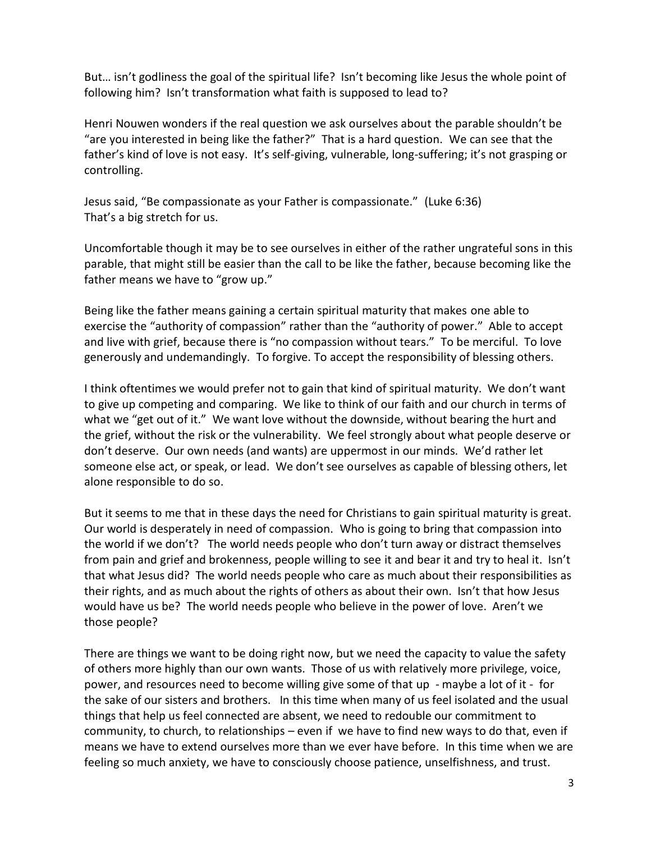But… isn't godliness the goal of the spiritual life? Isn't becoming like Jesus the whole point of following him? Isn't transformation what faith is supposed to lead to?

Henri Nouwen wonders if the real question we ask ourselves about the parable shouldn't be "are you interested in being like the father?" That is a hard question. We can see that the father's kind of love is not easy. It's self-giving, vulnerable, long-suffering; it's not grasping or controlling.

Jesus said, "Be compassionate as your Father is compassionate." (Luke 6:36) That's a big stretch for us.

Uncomfortable though it may be to see ourselves in either of the rather ungrateful sons in this parable, that might still be easier than the call to be like the father, because becoming like the father means we have to "grow up."

Being like the father means gaining a certain spiritual maturity that makes one able to exercise the "authority of compassion" rather than the "authority of power." Able to accept and live with grief, because there is "no compassion without tears." To be merciful. To love generously and undemandingly. To forgive. To accept the responsibility of blessing others.

I think oftentimes we would prefer not to gain that kind of spiritual maturity. We don't want to give up competing and comparing. We like to think of our faith and our church in terms of what we "get out of it." We want love without the downside, without bearing the hurt and the grief, without the risk or the vulnerability. We feel strongly about what people deserve or don't deserve. Our own needs (and wants) are uppermost in our minds. We'd rather let someone else act, or speak, or lead. We don't see ourselves as capable of blessing others, let alone responsible to do so.

But it seems to me that in these days the need for Christians to gain spiritual maturity is great. Our world is desperately in need of compassion. Who is going to bring that compassion into the world if we don't? The world needs people who don't turn away or distract themselves from pain and grief and brokenness, people willing to see it and bear it and try to heal it. Isn't that what Jesus did? The world needs people who care as much about their responsibilities as their rights, and as much about the rights of others as about their own. Isn't that how Jesus would have us be? The world needs people who believe in the power of love. Aren't we those people?

There are things we want to be doing right now, but we need the capacity to value the safety of others more highly than our own wants. Those of us with relatively more privilege, voice, power, and resources need to become willing give some of that up - maybe a lot of it - for the sake of our sisters and brothers. In this time when many of us feel isolated and the usual things that help us feel connected are absent, we need to redouble our commitment to community, to church, to relationships – even if we have to find new ways to do that, even if means we have to extend ourselves more than we ever have before. In this time when we are feeling so much anxiety, we have to consciously choose patience, unselfishness, and trust.